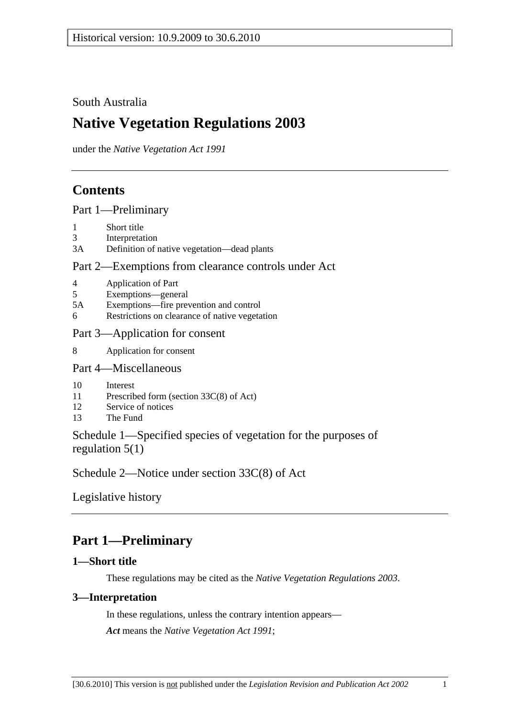South Australia

# **Native Vegetation Regulations 2003**

under the *Native Vegetation Act 1991*

## **Contents**

Part 1—Preliminary

- 1 Short title
- 3 Interpretation
- 3A Definition of native vegetation—dead plants

### Part 2—Exemptions from clearance controls under Act

- 4 Application of Part
- 5 Exemptions—general
- 5A Exemptions—fire prevention and control
- 6 Restrictions on clearance of native vegetation
- Part 3—Application for consent
- 8 Application for consent
- Part 4—Miscellaneous
- 10 Interest
- 11 Prescribed form (section 33C(8) of Act)
- 12 Service of notices
- 13 The Fund

Schedule 1—Specified species of vegetation for the purposes of regulation 5(1)

Schedule 2—Notice under section 33C(8) of Act

Legislative history

# **Part 1—Preliminary**

### **1—Short title**

These regulations may be cited as the *Native Vegetation Regulations 2003*.

### **3—Interpretation**

In these regulations, unless the contrary intention appears— *Act* means the *Native Vegetation Act 1991*;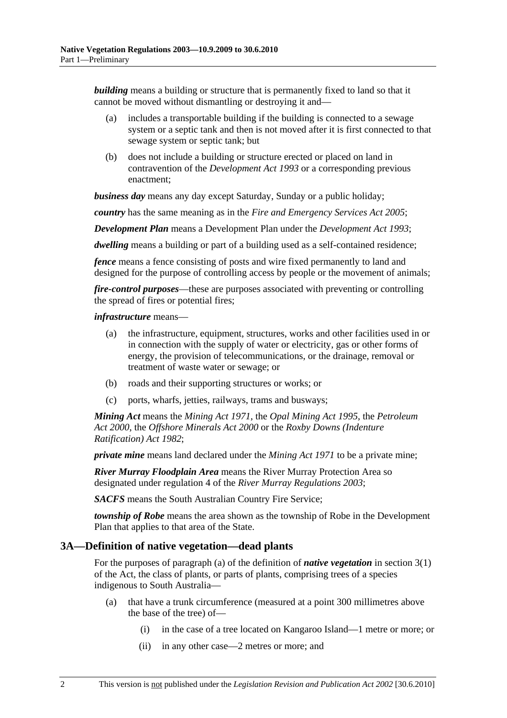*building* means a building or structure that is permanently fixed to land so that it cannot be moved without dismantling or destroying it and—

- (a) includes a transportable building if the building is connected to a sewage system or a septic tank and then is not moved after it is first connected to that sewage system or septic tank; but
- (b) does not include a building or structure erected or placed on land in contravention of the *Development Act 1993* or a corresponding previous enactment;

*business day* means any day except Saturday, Sunday or a public holiday;

*country* has the same meaning as in the *Fire and Emergency Services Act 2005*;

*Development Plan* means a Development Plan under the *Development Act 1993*;

*dwelling* means a building or part of a building used as a self-contained residence;

*fence* means a fence consisting of posts and wire fixed permanently to land and designed for the purpose of controlling access by people or the movement of animals;

*fire-control purposes*—these are purposes associated with preventing or controlling the spread of fires or potential fires;

#### *infrastructure* means—

- (a) the infrastructure, equipment, structures, works and other facilities used in or in connection with the supply of water or electricity, gas or other forms of energy, the provision of telecommunications, or the drainage, removal or treatment of waste water or sewage; or
- (b) roads and their supporting structures or works; or
- (c) ports, wharfs, jetties, railways, trams and busways;

*Mining Act* means the *Mining Act 1971*, the *Opal Mining Act 1995*, the *Petroleum Act 2000*, the *Offshore Minerals Act 2000* or the *Roxby Downs (Indenture Ratification) Act 1982*;

*private mine* means land declared under the *Mining Act 1971* to be a private mine;

*River Murray Floodplain Area* means the River Murray Protection Area so designated under regulation 4 of the *River Murray Regulations 2003*;

*SACFS* means the South Australian Country Fire Service;

*township of Robe* means the area shown as the township of Robe in the Development Plan that applies to that area of the State.

#### **3A—Definition of native vegetation—dead plants**

For the purposes of paragraph (a) of the definition of *native vegetation* in section 3(1) of the Act, the class of plants, or parts of plants, comprising trees of a species indigenous to South Australia—

- (a) that have a trunk circumference (measured at a point 300 millimetres above the base of the tree) of—
	- (i) in the case of a tree located on Kangaroo Island—1 metre or more; or
	- (ii) in any other case—2 metres or more; and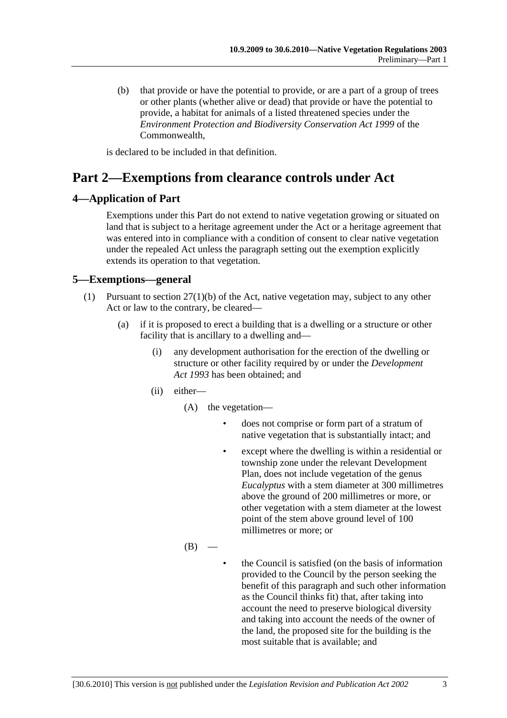(b) that provide or have the potential to provide, or are a part of a group of trees or other plants (whether alive or dead) that provide or have the potential to provide, a habitat for animals of a listed threatened species under the *Environment Protection and Biodiversity Conservation Act 1999* of the Commonwealth,

is declared to be included in that definition.

# **Part 2—Exemptions from clearance controls under Act**

### **4—Application of Part**

Exemptions under this Part do not extend to native vegetation growing or situated on land that is subject to a heritage agreement under the Act or a heritage agreement that was entered into in compliance with a condition of consent to clear native vegetation under the repealed Act unless the paragraph setting out the exemption explicitly extends its operation to that vegetation.

### **5—Exemptions—general**

- (1) Pursuant to section 27(1)(b) of the Act, native vegetation may, subject to any other Act or law to the contrary, be cleared—
	- (a) if it is proposed to erect a building that is a dwelling or a structure or other facility that is ancillary to a dwelling and—
		- (i) any development authorisation for the erection of the dwelling or structure or other facility required by or under the *Development Act 1993* has been obtained; and
		- (ii) either—
			- (A) the vegetation
				- does not comprise or form part of a stratum of native vegetation that is substantially intact; and
				- except where the dwelling is within a residential or township zone under the relevant Development Plan, does not include vegetation of the genus *Eucalyptus* with a stem diameter at 300 millimetres above the ground of 200 millimetres or more, or other vegetation with a stem diameter at the lowest point of the stem above ground level of 100 millimetres or more; or
			- $(B)$
- the Council is satisfied (on the basis of information provided to the Council by the person seeking the benefit of this paragraph and such other information as the Council thinks fit) that, after taking into account the need to preserve biological diversity and taking into account the needs of the owner of the land, the proposed site for the building is the most suitable that is available; and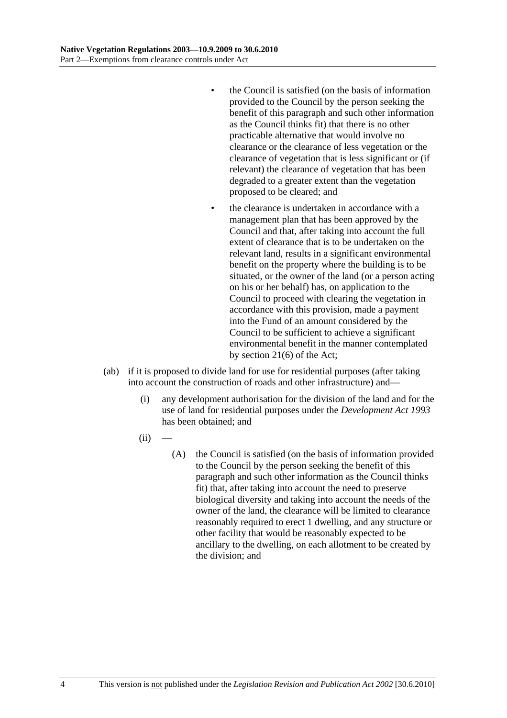- the Council is satisfied (on the basis of information provided to the Council by the person seeking the benefit of this paragraph and such other information as the Council thinks fit) that there is no other practicable alternative that would involve no clearance or the clearance of less vegetation or the clearance of vegetation that is less significant or (if relevant) the clearance of vegetation that has been degraded to a greater extent than the vegetation proposed to be cleared; and
- the clearance is undertaken in accordance with a management plan that has been approved by the Council and that, after taking into account the full extent of clearance that is to be undertaken on the relevant land, results in a significant environmental benefit on the property where the building is to be situated, or the owner of the land (or a person acting on his or her behalf) has, on application to the Council to proceed with clearing the vegetation in accordance with this provision, made a payment into the Fund of an amount considered by the Council to be sufficient to achieve a significant environmental benefit in the manner contemplated by section 21(6) of the Act;
- (ab) if it is proposed to divide land for use for residential purposes (after taking into account the construction of roads and other infrastructure) and—
	- (i) any development authorisation for the division of the land and for the use of land for residential purposes under the *Development Act 1993* has been obtained; and
	- $(ii)$ 
		- (A) the Council is satisfied (on the basis of information provided to the Council by the person seeking the benefit of this paragraph and such other information as the Council thinks fit) that, after taking into account the need to preserve biological diversity and taking into account the needs of the owner of the land, the clearance will be limited to clearance reasonably required to erect 1 dwelling, and any structure or other facility that would be reasonably expected to be ancillary to the dwelling, on each allotment to be created by the division; and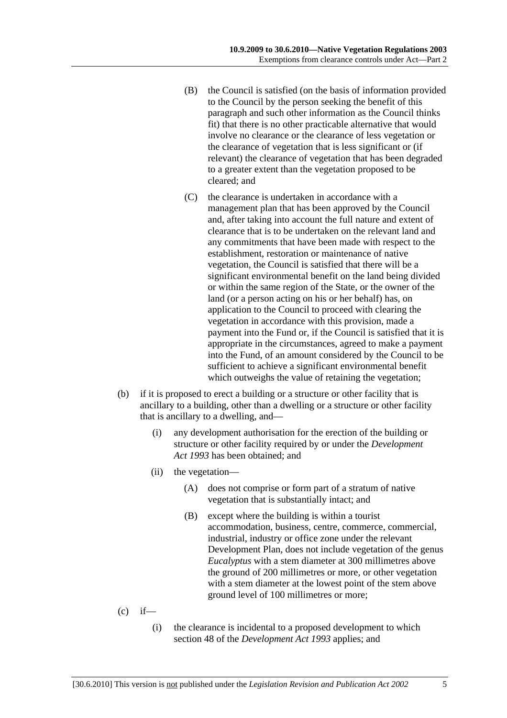- (B) the Council is satisfied (on the basis of information provided to the Council by the person seeking the benefit of this paragraph and such other information as the Council thinks fit) that there is no other practicable alternative that would involve no clearance or the clearance of less vegetation or the clearance of vegetation that is less significant or (if relevant) the clearance of vegetation that has been degraded to a greater extent than the vegetation proposed to be cleared; and
- (C) the clearance is undertaken in accordance with a management plan that has been approved by the Council and, after taking into account the full nature and extent of clearance that is to be undertaken on the relevant land and any commitments that have been made with respect to the establishment, restoration or maintenance of native vegetation, the Council is satisfied that there will be a significant environmental benefit on the land being divided or within the same region of the State, or the owner of the land (or a person acting on his or her behalf) has, on application to the Council to proceed with clearing the vegetation in accordance with this provision, made a payment into the Fund or, if the Council is satisfied that it is appropriate in the circumstances, agreed to make a payment into the Fund, of an amount considered by the Council to be sufficient to achieve a significant environmental benefit which outweighs the value of retaining the vegetation;
- (b) if it is proposed to erect a building or a structure or other facility that is ancillary to a building, other than a dwelling or a structure or other facility that is ancillary to a dwelling, and—
	- (i) any development authorisation for the erection of the building or structure or other facility required by or under the *Development Act 1993* has been obtained; and
	- (ii) the vegetation—
		- (A) does not comprise or form part of a stratum of native vegetation that is substantially intact; and
		- (B) except where the building is within a tourist accommodation, business, centre, commerce, commercial, industrial, industry or office zone under the relevant Development Plan, does not include vegetation of the genus *Eucalyptus* with a stem diameter at 300 millimetres above the ground of 200 millimetres or more, or other vegetation with a stem diameter at the lowest point of the stem above ground level of 100 millimetres or more;
- $(c)$  if—
	- (i) the clearance is incidental to a proposed development to which section 48 of the *Development Act 1993* applies; and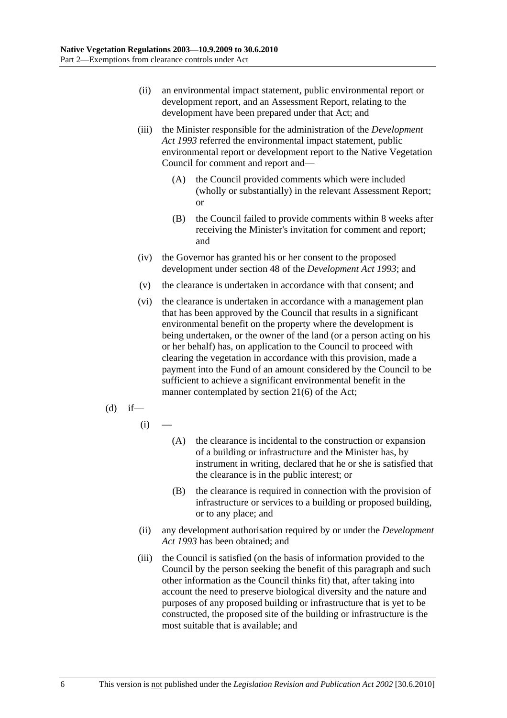- (ii) an environmental impact statement, public environmental report or development report, and an Assessment Report, relating to the development have been prepared under that Act; and
- (iii) the Minister responsible for the administration of the *Development Act 1993* referred the environmental impact statement, public environmental report or development report to the Native Vegetation Council for comment and report and—
	- (A) the Council provided comments which were included (wholly or substantially) in the relevant Assessment Report; or
	- (B) the Council failed to provide comments within 8 weeks after receiving the Minister's invitation for comment and report; and
- (iv) the Governor has granted his or her consent to the proposed development under section 48 of the *Development Act 1993*; and
- (v) the clearance is undertaken in accordance with that consent; and
- (vi) the clearance is undertaken in accordance with a management plan that has been approved by the Council that results in a significant environmental benefit on the property where the development is being undertaken, or the owner of the land (or a person acting on his or her behalf) has, on application to the Council to proceed with clearing the vegetation in accordance with this provision, made a payment into the Fund of an amount considered by the Council to be sufficient to achieve a significant environmental benefit in the manner contemplated by section 21(6) of the Act;
- $(d)$  if—
	- $(i)$
- (A) the clearance is incidental to the construction or expansion of a building or infrastructure and the Minister has, by instrument in writing, declared that he or she is satisfied that the clearance is in the public interest; or
- (B) the clearance is required in connection with the provision of infrastructure or services to a building or proposed building, or to any place; and
- (ii) any development authorisation required by or under the *Development Act 1993* has been obtained; and
- (iii) the Council is satisfied (on the basis of information provided to the Council by the person seeking the benefit of this paragraph and such other information as the Council thinks fit) that, after taking into account the need to preserve biological diversity and the nature and purposes of any proposed building or infrastructure that is yet to be constructed, the proposed site of the building or infrastructure is the most suitable that is available; and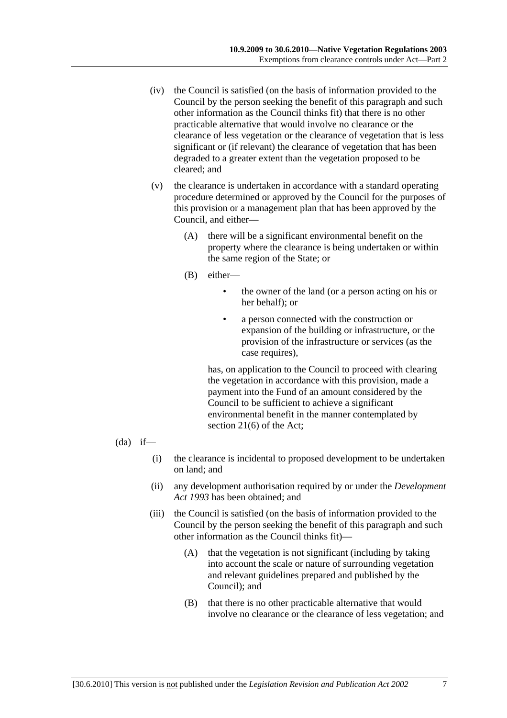- (iv) the Council is satisfied (on the basis of information provided to the Council by the person seeking the benefit of this paragraph and such other information as the Council thinks fit) that there is no other practicable alternative that would involve no clearance or the clearance of less vegetation or the clearance of vegetation that is less significant or (if relevant) the clearance of vegetation that has been degraded to a greater extent than the vegetation proposed to be cleared; and
- (v) the clearance is undertaken in accordance with a standard operating procedure determined or approved by the Council for the purposes of this provision or a management plan that has been approved by the Council, and either—
	- (A) there will be a significant environmental benefit on the property where the clearance is being undertaken or within the same region of the State; or
	- (B) either—
		- the owner of the land (or a person acting on his or her behalf); or
		- a person connected with the construction or expansion of the building or infrastructure, or the provision of the infrastructure or services (as the case requires),

has, on application to the Council to proceed with clearing the vegetation in accordance with this provision, made a payment into the Fund of an amount considered by the Council to be sufficient to achieve a significant environmental benefit in the manner contemplated by section 21(6) of the Act;

- $(da)$  if—
	- (i) the clearance is incidental to proposed development to be undertaken on land; and
	- (ii) any development authorisation required by or under the *Development Act 1993* has been obtained; and
	- (iii) the Council is satisfied (on the basis of information provided to the Council by the person seeking the benefit of this paragraph and such other information as the Council thinks fit)—
		- (A) that the vegetation is not significant (including by taking into account the scale or nature of surrounding vegetation and relevant guidelines prepared and published by the Council); and
		- (B) that there is no other practicable alternative that would involve no clearance or the clearance of less vegetation; and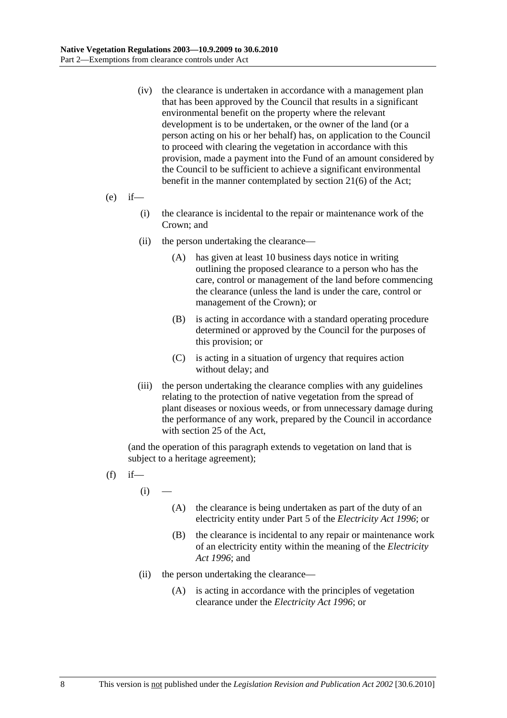- (iv) the clearance is undertaken in accordance with a management plan that has been approved by the Council that results in a significant environmental benefit on the property where the relevant development is to be undertaken, or the owner of the land (or a person acting on his or her behalf) has, on application to the Council to proceed with clearing the vegetation in accordance with this provision, made a payment into the Fund of an amount considered by the Council to be sufficient to achieve a significant environmental benefit in the manner contemplated by section 21(6) of the Act;
- $(e)$  if—
	- (i) the clearance is incidental to the repair or maintenance work of the Crown; and
	- (ii) the person undertaking the clearance—
		- (A) has given at least 10 business days notice in writing outlining the proposed clearance to a person who has the care, control or management of the land before commencing the clearance (unless the land is under the care, control or management of the Crown); or
		- (B) is acting in accordance with a standard operating procedure determined or approved by the Council for the purposes of this provision; or
		- (C) is acting in a situation of urgency that requires action without delay; and
	- (iii) the person undertaking the clearance complies with any guidelines relating to the protection of native vegetation from the spread of plant diseases or noxious weeds, or from unnecessary damage during the performance of any work, prepared by the Council in accordance with section 25 of the Act,

(and the operation of this paragraph extends to vegetation on land that is subject to a heritage agreement);

- $(f)$  if
	- $(i)$
- (A) the clearance is being undertaken as part of the duty of an electricity entity under Part 5 of the *Electricity Act 1996*; or
- (B) the clearance is incidental to any repair or maintenance work of an electricity entity within the meaning of the *Electricity Act 1996*; and
- (ii) the person undertaking the clearance—
	- (A) is acting in accordance with the principles of vegetation clearance under the *Electricity Act 1996*; or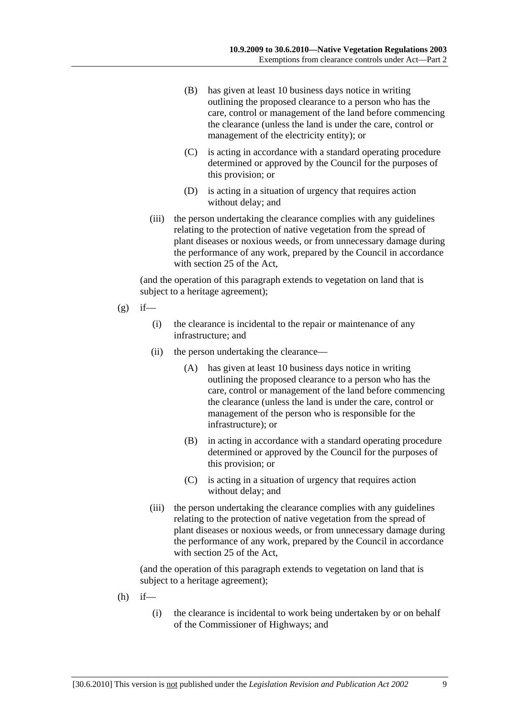- (B) has given at least 10 business days notice in writing outlining the proposed clearance to a person who has the care, control or management of the land before commencing the clearance (unless the land is under the care, control or management of the electricity entity); or
- (C) is acting in accordance with a standard operating procedure determined or approved by the Council for the purposes of this provision; or
- (D) is acting in a situation of urgency that requires action without delay; and
- (iii) the person undertaking the clearance complies with any guidelines relating to the protection of native vegetation from the spread of plant diseases or noxious weeds, or from unnecessary damage during the performance of any work, prepared by the Council in accordance with section 25 of the Act,

(and the operation of this paragraph extends to vegetation on land that is subject to a heritage agreement);

- $(g)$  if—
	- (i) the clearance is incidental to the repair or maintenance of any infrastructure; and
	- (ii) the person undertaking the clearance—
		- (A) has given at least 10 business days notice in writing outlining the proposed clearance to a person who has the care, control or management of the land before commencing the clearance (unless the land is under the care, control or management of the person who is responsible for the infrastructure); or
		- (B) in acting in accordance with a standard operating procedure determined or approved by the Council for the purposes of this provision; or
		- (C) is acting in a situation of urgency that requires action without delay; and
	- (iii) the person undertaking the clearance complies with any guidelines relating to the protection of native vegetation from the spread of plant diseases or noxious weeds, or from unnecessary damage during the performance of any work, prepared by the Council in accordance with section 25 of the Act,

(and the operation of this paragraph extends to vegetation on land that is subject to a heritage agreement);

- $(h)$  if—
	- (i) the clearance is incidental to work being undertaken by or on behalf of the Commissioner of Highways; and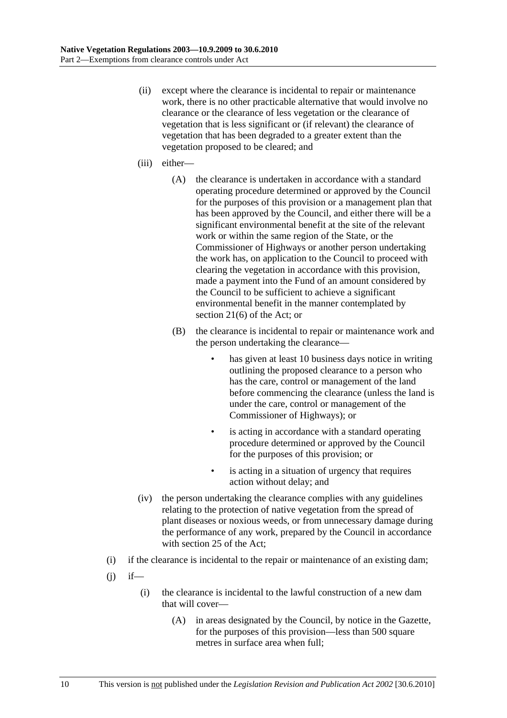- (ii) except where the clearance is incidental to repair or maintenance work, there is no other practicable alternative that would involve no clearance or the clearance of less vegetation or the clearance of vegetation that is less significant or (if relevant) the clearance of vegetation that has been degraded to a greater extent than the vegetation proposed to be cleared; and
- (iii) either—
	- (A) the clearance is undertaken in accordance with a standard operating procedure determined or approved by the Council for the purposes of this provision or a management plan that has been approved by the Council, and either there will be a significant environmental benefit at the site of the relevant work or within the same region of the State, or the Commissioner of Highways or another person undertaking the work has, on application to the Council to proceed with clearing the vegetation in accordance with this provision, made a payment into the Fund of an amount considered by the Council to be sufficient to achieve a significant environmental benefit in the manner contemplated by section 21(6) of the Act; or
	- (B) the clearance is incidental to repair or maintenance work and the person undertaking the clearance
		- has given at least 10 business days notice in writing outlining the proposed clearance to a person who has the care, control or management of the land before commencing the clearance (unless the land is under the care, control or management of the Commissioner of Highways); or
		- is acting in accordance with a standard operating procedure determined or approved by the Council for the purposes of this provision; or
		- is acting in a situation of urgency that requires action without delay; and
- (iv) the person undertaking the clearance complies with any guidelines relating to the protection of native vegetation from the spread of plant diseases or noxious weeds, or from unnecessary damage during the performance of any work, prepared by the Council in accordance with section 25 of the Act;
- (i) if the clearance is incidental to the repair or maintenance of an existing dam;
- $(i)$  if—
	- (i) the clearance is incidental to the lawful construction of a new dam that will cover—
		- (A) in areas designated by the Council, by notice in the Gazette, for the purposes of this provision—less than 500 square metres in surface area when full;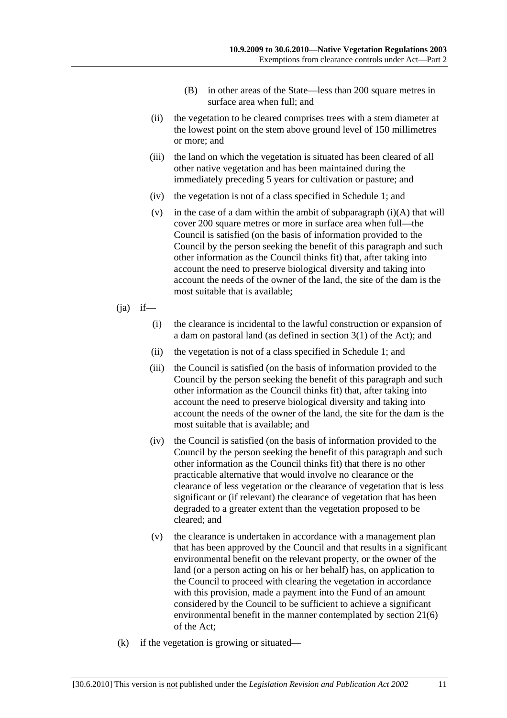- (B) in other areas of the State—less than 200 square metres in surface area when full; and
- (ii) the vegetation to be cleared comprises trees with a stem diameter at the lowest point on the stem above ground level of 150 millimetres or more; and
- (iii) the land on which the vegetation is situated has been cleared of all other native vegetation and has been maintained during the immediately preceding 5 years for cultivation or pasture; and
- (iv) the vegetation is not of a class specified in Schedule 1; and
- (v) in the case of a dam within the ambit of subparagraph  $(i)(A)$  that will cover 200 square metres or more in surface area when full—the Council is satisfied (on the basis of information provided to the Council by the person seeking the benefit of this paragraph and such other information as the Council thinks fit) that, after taking into account the need to preserve biological diversity and taking into account the needs of the owner of the land, the site of the dam is the most suitable that is available;
- $(i)$  if—
	- (i) the clearance is incidental to the lawful construction or expansion of a dam on pastoral land (as defined in section 3(1) of the Act); and
	- (ii) the vegetation is not of a class specified in Schedule 1; and
	- (iii) the Council is satisfied (on the basis of information provided to the Council by the person seeking the benefit of this paragraph and such other information as the Council thinks fit) that, after taking into account the need to preserve biological diversity and taking into account the needs of the owner of the land, the site for the dam is the most suitable that is available; and
	- (iv) the Council is satisfied (on the basis of information provided to the Council by the person seeking the benefit of this paragraph and such other information as the Council thinks fit) that there is no other practicable alternative that would involve no clearance or the clearance of less vegetation or the clearance of vegetation that is less significant or (if relevant) the clearance of vegetation that has been degraded to a greater extent than the vegetation proposed to be cleared; and
	- (v) the clearance is undertaken in accordance with a management plan that has been approved by the Council and that results in a significant environmental benefit on the relevant property, or the owner of the land (or a person acting on his or her behalf) has, on application to the Council to proceed with clearing the vegetation in accordance with this provision, made a payment into the Fund of an amount considered by the Council to be sufficient to achieve a significant environmental benefit in the manner contemplated by section 21(6) of the Act;
- (k) if the vegetation is growing or situated—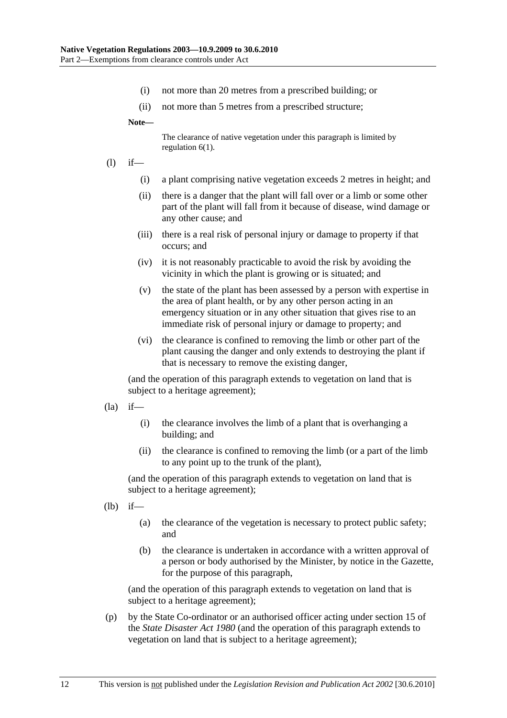- (i) not more than 20 metres from a prescribed building; or
- (ii) not more than 5 metres from a prescribed structure;

**Note—** 

The clearance of native vegetation under this paragraph is limited by regulation 6(1).

- (l) if—
	- (i) a plant comprising native vegetation exceeds 2 metres in height; and
	- (ii) there is a danger that the plant will fall over or a limb or some other part of the plant will fall from it because of disease, wind damage or any other cause; and
	- (iii) there is a real risk of personal injury or damage to property if that occurs; and
	- (iv) it is not reasonably practicable to avoid the risk by avoiding the vicinity in which the plant is growing or is situated; and
	- (v) the state of the plant has been assessed by a person with expertise in the area of plant health, or by any other person acting in an emergency situation or in any other situation that gives rise to an immediate risk of personal injury or damage to property; and
	- (vi) the clearance is confined to removing the limb or other part of the plant causing the danger and only extends to destroying the plant if that is necessary to remove the existing danger,

(and the operation of this paragraph extends to vegetation on land that is subject to a heritage agreement);

- $(la)$  if—
	- (i) the clearance involves the limb of a plant that is overhanging a building; and
	- (ii) the clearance is confined to removing the limb (or a part of the limb to any point up to the trunk of the plant),

(and the operation of this paragraph extends to vegetation on land that is subject to a heritage agreement);

(lb) if—

- (a) the clearance of the vegetation is necessary to protect public safety; and
- (b) the clearance is undertaken in accordance with a written approval of a person or body authorised by the Minister, by notice in the Gazette, for the purpose of this paragraph,

(and the operation of this paragraph extends to vegetation on land that is subject to a heritage agreement);

 (p) by the State Co-ordinator or an authorised officer acting under section 15 of the *State Disaster Act 1980* (and the operation of this paragraph extends to vegetation on land that is subject to a heritage agreement);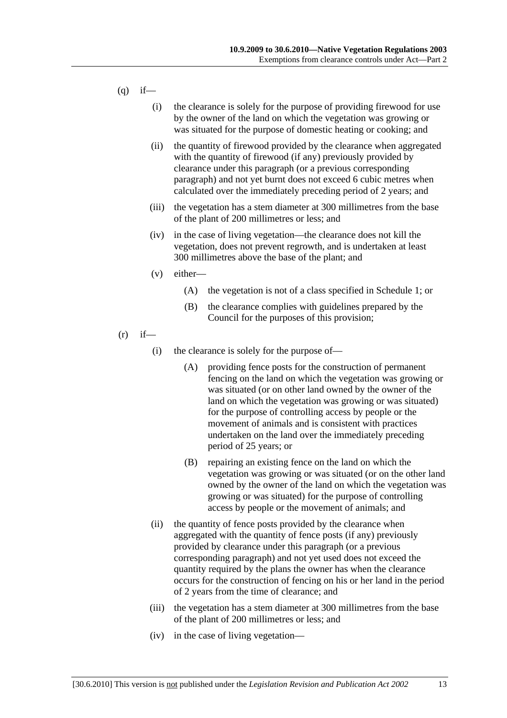- $(q)$  if—
	- (i) the clearance is solely for the purpose of providing firewood for use by the owner of the land on which the vegetation was growing or was situated for the purpose of domestic heating or cooking; and
	- (ii) the quantity of firewood provided by the clearance when aggregated with the quantity of firewood (if any) previously provided by clearance under this paragraph (or a previous corresponding paragraph) and not yet burnt does not exceed 6 cubic metres when calculated over the immediately preceding period of 2 years; and
	- (iii) the vegetation has a stem diameter at 300 millimetres from the base of the plant of 200 millimetres or less; and
	- (iv) in the case of living vegetation—the clearance does not kill the vegetation, does not prevent regrowth, and is undertaken at least 300 millimetres above the base of the plant; and
	- (v) either—
		- (A) the vegetation is not of a class specified in Schedule 1; or
		- (B) the clearance complies with guidelines prepared by the Council for the purposes of this provision;
- $(r)$  if—
	- (i) the clearance is solely for the purpose of—
		- (A) providing fence posts for the construction of permanent fencing on the land on which the vegetation was growing or was situated (or on other land owned by the owner of the land on which the vegetation was growing or was situated) for the purpose of controlling access by people or the movement of animals and is consistent with practices undertaken on the land over the immediately preceding period of 25 years; or
		- (B) repairing an existing fence on the land on which the vegetation was growing or was situated (or on the other land owned by the owner of the land on which the vegetation was growing or was situated) for the purpose of controlling access by people or the movement of animals; and
	- (ii) the quantity of fence posts provided by the clearance when aggregated with the quantity of fence posts (if any) previously provided by clearance under this paragraph (or a previous corresponding paragraph) and not yet used does not exceed the quantity required by the plans the owner has when the clearance occurs for the construction of fencing on his or her land in the period of 2 years from the time of clearance; and
	- (iii) the vegetation has a stem diameter at 300 millimetres from the base of the plant of 200 millimetres or less; and
	- (iv) in the case of living vegetation—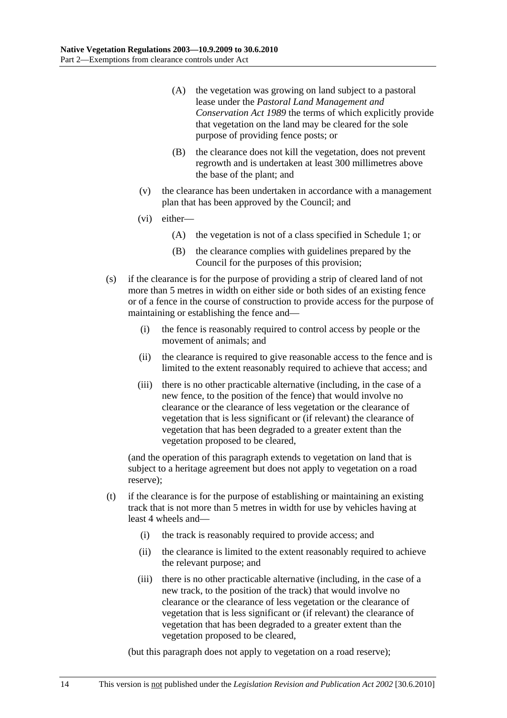- (A) the vegetation was growing on land subject to a pastoral lease under the *Pastoral Land Management and Conservation Act 1989* the terms of which explicitly provide that vegetation on the land may be cleared for the sole purpose of providing fence posts; or
- (B) the clearance does not kill the vegetation, does not prevent regrowth and is undertaken at least 300 millimetres above the base of the plant; and
- (v) the clearance has been undertaken in accordance with a management plan that has been approved by the Council; and
- (vi) either—
	- (A) the vegetation is not of a class specified in Schedule 1; or
	- (B) the clearance complies with guidelines prepared by the Council for the purposes of this provision;
- (s) if the clearance is for the purpose of providing a strip of cleared land of not more than 5 metres in width on either side or both sides of an existing fence or of a fence in the course of construction to provide access for the purpose of maintaining or establishing the fence and—
	- (i) the fence is reasonably required to control access by people or the movement of animals; and
	- (ii) the clearance is required to give reasonable access to the fence and is limited to the extent reasonably required to achieve that access; and
	- (iii) there is no other practicable alternative (including, in the case of a new fence, to the position of the fence) that would involve no clearance or the clearance of less vegetation or the clearance of vegetation that is less significant or (if relevant) the clearance of vegetation that has been degraded to a greater extent than the vegetation proposed to be cleared,

(and the operation of this paragraph extends to vegetation on land that is subject to a heritage agreement but does not apply to vegetation on a road reserve);

- (t) if the clearance is for the purpose of establishing or maintaining an existing track that is not more than 5 metres in width for use by vehicles having at least 4 wheels and—
	- (i) the track is reasonably required to provide access; and
	- (ii) the clearance is limited to the extent reasonably required to achieve the relevant purpose; and
	- (iii) there is no other practicable alternative (including, in the case of a new track, to the position of the track) that would involve no clearance or the clearance of less vegetation or the clearance of vegetation that is less significant or (if relevant) the clearance of vegetation that has been degraded to a greater extent than the vegetation proposed to be cleared,

(but this paragraph does not apply to vegetation on a road reserve);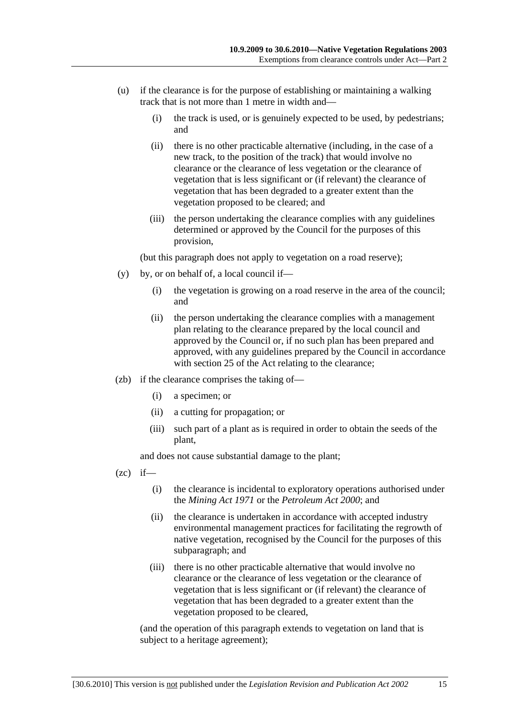- (u) if the clearance is for the purpose of establishing or maintaining a walking track that is not more than 1 metre in width and—
	- (i) the track is used, or is genuinely expected to be used, by pedestrians; and
	- (ii) there is no other practicable alternative (including, in the case of a new track, to the position of the track) that would involve no clearance or the clearance of less vegetation or the clearance of vegetation that is less significant or (if relevant) the clearance of vegetation that has been degraded to a greater extent than the vegetation proposed to be cleared; and
	- (iii) the person undertaking the clearance complies with any guidelines determined or approved by the Council for the purposes of this provision,

(but this paragraph does not apply to vegetation on a road reserve);

- (y) by, or on behalf of, a local council if—
	- (i) the vegetation is growing on a road reserve in the area of the council; and
	- (ii) the person undertaking the clearance complies with a management plan relating to the clearance prepared by the local council and approved by the Council or, if no such plan has been prepared and approved, with any guidelines prepared by the Council in accordance with section 25 of the Act relating to the clearance;
- (zb) if the clearance comprises the taking of—
	- (i) a specimen; or
	- (ii) a cutting for propagation; or
	- (iii) such part of a plant as is required in order to obtain the seeds of the plant,

and does not cause substantial damage to the plant;

- $(zc)$  if—
	- (i) the clearance is incidental to exploratory operations authorised under the *Mining Act 1971* or the *Petroleum Act 2000*; and
	- (ii) the clearance is undertaken in accordance with accepted industry environmental management practices for facilitating the regrowth of native vegetation, recognised by the Council for the purposes of this subparagraph; and
	- (iii) there is no other practicable alternative that would involve no clearance or the clearance of less vegetation or the clearance of vegetation that is less significant or (if relevant) the clearance of vegetation that has been degraded to a greater extent than the vegetation proposed to be cleared,

(and the operation of this paragraph extends to vegetation on land that is subject to a heritage agreement);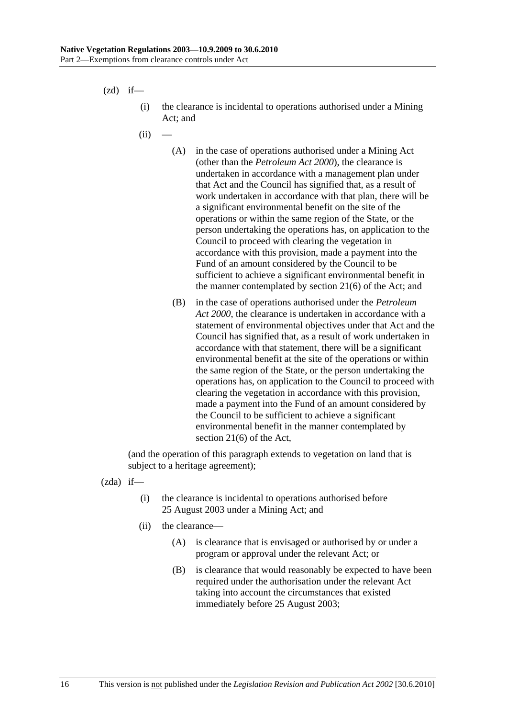$(zd)$  if—

- (i) the clearance is incidental to operations authorised under a Mining Act; and
- $(ii)$ 
	- (A) in the case of operations authorised under a Mining Act (other than the *Petroleum Act 2000*), the clearance is undertaken in accordance with a management plan under that Act and the Council has signified that, as a result of work undertaken in accordance with that plan, there will be a significant environmental benefit on the site of the operations or within the same region of the State, or the person undertaking the operations has, on application to the Council to proceed with clearing the vegetation in accordance with this provision, made a payment into the Fund of an amount considered by the Council to be sufficient to achieve a significant environmental benefit in the manner contemplated by section 21(6) of the Act; and
	- (B) in the case of operations authorised under the *Petroleum Act 2000*, the clearance is undertaken in accordance with a statement of environmental objectives under that Act and the Council has signified that, as a result of work undertaken in accordance with that statement, there will be a significant environmental benefit at the site of the operations or within the same region of the State, or the person undertaking the operations has, on application to the Council to proceed with clearing the vegetation in accordance with this provision, made a payment into the Fund of an amount considered by the Council to be sufficient to achieve a significant environmental benefit in the manner contemplated by section 21(6) of the Act,

(and the operation of this paragraph extends to vegetation on land that is subject to a heritage agreement);

(zda) if—

- (i) the clearance is incidental to operations authorised before 25 August 2003 under a Mining Act; and
- (ii) the clearance—
	- (A) is clearance that is envisaged or authorised by or under a program or approval under the relevant Act; or
	- (B) is clearance that would reasonably be expected to have been required under the authorisation under the relevant Act taking into account the circumstances that existed immediately before 25 August 2003;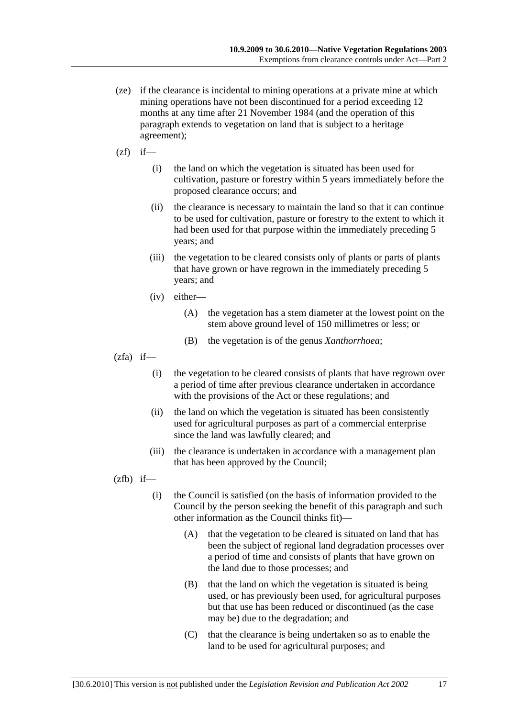- (ze) if the clearance is incidental to mining operations at a private mine at which mining operations have not been discontinued for a period exceeding 12 months at any time after 21 November 1984 (and the operation of this paragraph extends to vegetation on land that is subject to a heritage agreement);
- $(zf)$  if—
	- (i) the land on which the vegetation is situated has been used for cultivation, pasture or forestry within 5 years immediately before the proposed clearance occurs; and
	- (ii) the clearance is necessary to maintain the land so that it can continue to be used for cultivation, pasture or forestry to the extent to which it had been used for that purpose within the immediately preceding 5 years; and
	- (iii) the vegetation to be cleared consists only of plants or parts of plants that have grown or have regrown in the immediately preceding 5 years; and
	- (iv) either—
		- (A) the vegetation has a stem diameter at the lowest point on the stem above ground level of 150 millimetres or less; or
		- (B) the vegetation is of the genus *Xanthorrhoea*;
- $(zfa)$  if—
	- (i) the vegetation to be cleared consists of plants that have regrown over a period of time after previous clearance undertaken in accordance with the provisions of the Act or these regulations; and
	- (ii) the land on which the vegetation is situated has been consistently used for agricultural purposes as part of a commercial enterprise since the land was lawfully cleared; and
	- (iii) the clearance is undertaken in accordance with a management plan that has been approved by the Council;

 $(zfb)$  if—

- (i) the Council is satisfied (on the basis of information provided to the Council by the person seeking the benefit of this paragraph and such other information as the Council thinks fit)—
	- (A) that the vegetation to be cleared is situated on land that has been the subject of regional land degradation processes over a period of time and consists of plants that have grown on the land due to those processes; and
	- (B) that the land on which the vegetation is situated is being used, or has previously been used, for agricultural purposes but that use has been reduced or discontinued (as the case may be) due to the degradation; and
	- (C) that the clearance is being undertaken so as to enable the land to be used for agricultural purposes; and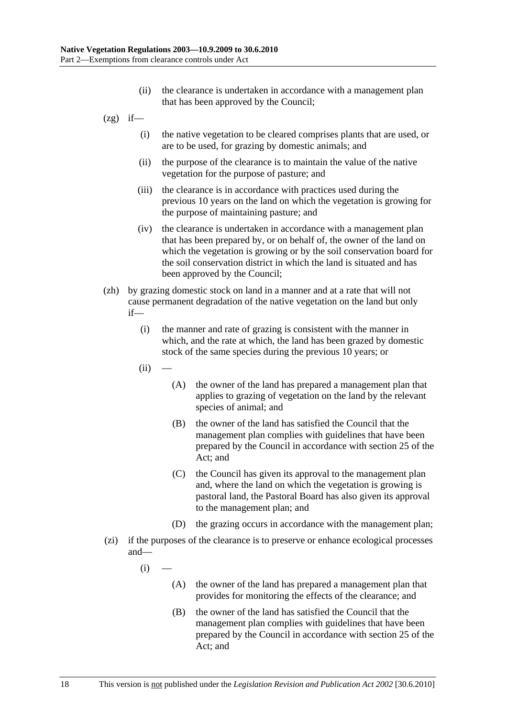- (ii) the clearance is undertaken in accordance with a management plan that has been approved by the Council;
- $(2g)$  if—
	- (i) the native vegetation to be cleared comprises plants that are used, or are to be used, for grazing by domestic animals; and
	- (ii) the purpose of the clearance is to maintain the value of the native vegetation for the purpose of pasture; and
	- (iii) the clearance is in accordance with practices used during the previous 10 years on the land on which the vegetation is growing for the purpose of maintaining pasture; and
	- (iv) the clearance is undertaken in accordance with a management plan that has been prepared by, or on behalf of, the owner of the land on which the vegetation is growing or by the soil conservation board for the soil conservation district in which the land is situated and has been approved by the Council;
- (zh) by grazing domestic stock on land in a manner and at a rate that will not cause permanent degradation of the native vegetation on the land but only if—
	- (i) the manner and rate of grazing is consistent with the manner in which, and the rate at which, the land has been grazed by domestic stock of the same species during the previous 10 years; or
	- $(ii)$
- (A) the owner of the land has prepared a management plan that applies to grazing of vegetation on the land by the relevant species of animal; and
- (B) the owner of the land has satisfied the Council that the management plan complies with guidelines that have been prepared by the Council in accordance with section 25 of the Act; and
- (C) the Council has given its approval to the management plan and, where the land on which the vegetation is growing is pastoral land, the Pastoral Board has also given its approval to the management plan; and
- (D) the grazing occurs in accordance with the management plan;
- (zi) if the purposes of the clearance is to preserve or enhance ecological processes and—
	- $(i)$ 
		- (A) the owner of the land has prepared a management plan that provides for monitoring the effects of the clearance; and
		- (B) the owner of the land has satisfied the Council that the management plan complies with guidelines that have been prepared by the Council in accordance with section 25 of the Act; and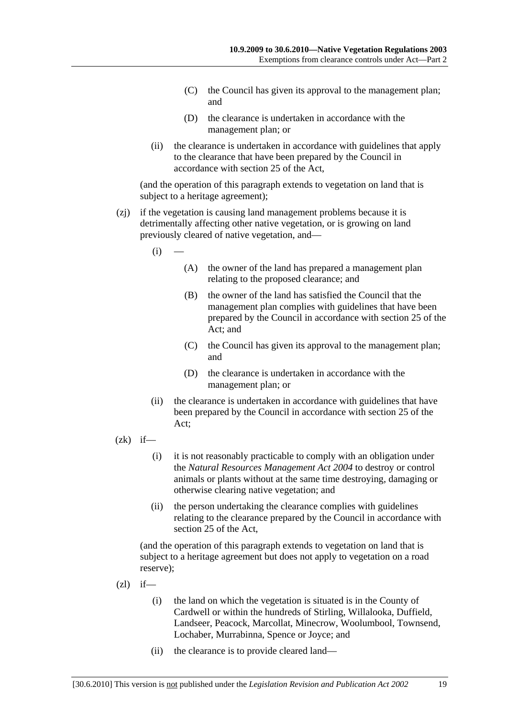- (C) the Council has given its approval to the management plan; and
- (D) the clearance is undertaken in accordance with the management plan; or
- (ii) the clearance is undertaken in accordance with guidelines that apply to the clearance that have been prepared by the Council in accordance with section 25 of the Act,

(and the operation of this paragraph extends to vegetation on land that is subject to a heritage agreement);

- (zj) if the vegetation is causing land management problems because it is detrimentally affecting other native vegetation, or is growing on land previously cleared of native vegetation, and—
	- $(i)$
- (A) the owner of the land has prepared a management plan relating to the proposed clearance; and
- (B) the owner of the land has satisfied the Council that the management plan complies with guidelines that have been prepared by the Council in accordance with section 25 of the Act; and
- (C) the Council has given its approval to the management plan; and
- (D) the clearance is undertaken in accordance with the management plan; or
- (ii) the clearance is undertaken in accordance with guidelines that have been prepared by the Council in accordance with section 25 of the Act;
- $(zk)$  if—
	- (i) it is not reasonably practicable to comply with an obligation under the *Natural Resources Management Act 2004* to destroy or control animals or plants without at the same time destroying, damaging or otherwise clearing native vegetation; and
	- (ii) the person undertaking the clearance complies with guidelines relating to the clearance prepared by the Council in accordance with section 25 of the Act,

(and the operation of this paragraph extends to vegetation on land that is subject to a heritage agreement but does not apply to vegetation on a road reserve);

- $(zl)$  if—
	- (i) the land on which the vegetation is situated is in the County of Cardwell or within the hundreds of Stirling, Willalooka, Duffield, Landseer, Peacock, Marcollat, Minecrow, Woolumbool, Townsend, Lochaber, Murrabinna, Spence or Joyce; and
	- (ii) the clearance is to provide cleared land—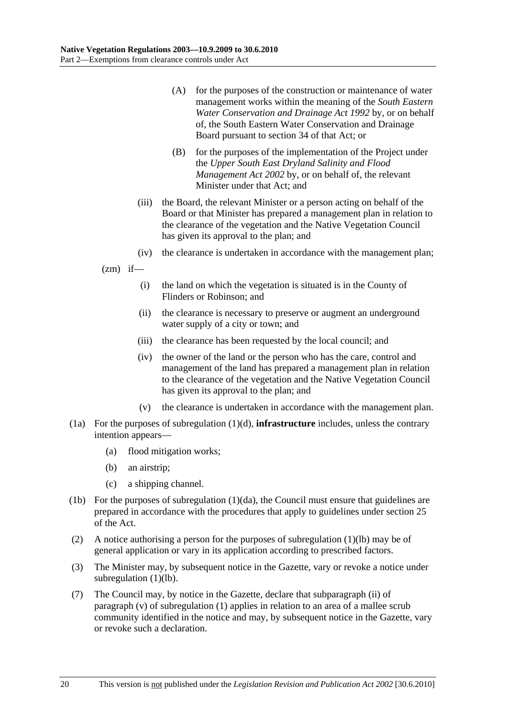- (A) for the purposes of the construction or maintenance of water management works within the meaning of the *South Eastern Water Conservation and Drainage Act 1992* by, or on behalf of, the South Eastern Water Conservation and Drainage Board pursuant to section 34 of that Act; or
- (B) for the purposes of the implementation of the Project under the *Upper South East Dryland Salinity and Flood Management Act 2002* by, or on behalf of, the relevant Minister under that Act; and
- (iii) the Board, the relevant Minister or a person acting on behalf of the Board or that Minister has prepared a management plan in relation to the clearance of the vegetation and the Native Vegetation Council has given its approval to the plan; and
- (iv) the clearance is undertaken in accordance with the management plan;

 $(zm)$  if—

- (i) the land on which the vegetation is situated is in the County of Flinders or Robinson; and
- (ii) the clearance is necessary to preserve or augment an underground water supply of a city or town; and
- (iii) the clearance has been requested by the local council; and
- (iv) the owner of the land or the person who has the care, control and management of the land has prepared a management plan in relation to the clearance of the vegetation and the Native Vegetation Council has given its approval to the plan; and
- (v) the clearance is undertaken in accordance with the management plan.
- (1a) For the purposes of subregulation (1)(d), **infrastructure** includes, unless the contrary intention appears—
	- (a) flood mitigation works;
	- (b) an airstrip;
	- (c) a shipping channel.
- (1b) For the purposes of subregulation (1)(da), the Council must ensure that guidelines are prepared in accordance with the procedures that apply to guidelines under section 25 of the Act.
- (2) A notice authorising a person for the purposes of subregulation (1)(lb) may be of general application or vary in its application according to prescribed factors.
- (3) The Minister may, by subsequent notice in the Gazette, vary or revoke a notice under subregulation (1)(lb).
- (7) The Council may, by notice in the Gazette, declare that subparagraph (ii) of paragraph (v) of subregulation (1) applies in relation to an area of a mallee scrub community identified in the notice and may, by subsequent notice in the Gazette, vary or revoke such a declaration.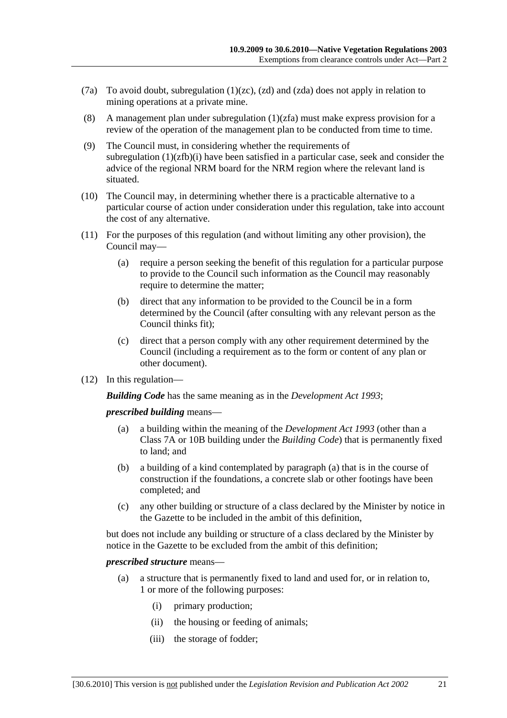- (7a) To avoid doubt, subregulation (1)(zc), (zd) and (zda) does not apply in relation to mining operations at a private mine.
- (8) A management plan under subregulation  $(1)(zfa)$  must make express provision for a review of the operation of the management plan to be conducted from time to time.
- (9) The Council must, in considering whether the requirements of subregulation  $(1)(zfb)(i)$  have been satisfied in a particular case, seek and consider the advice of the regional NRM board for the NRM region where the relevant land is situated.
- (10) The Council may, in determining whether there is a practicable alternative to a particular course of action under consideration under this regulation, take into account the cost of any alternative.
- (11) For the purposes of this regulation (and without limiting any other provision), the Council may—
	- (a) require a person seeking the benefit of this regulation for a particular purpose to provide to the Council such information as the Council may reasonably require to determine the matter;
	- (b) direct that any information to be provided to the Council be in a form determined by the Council (after consulting with any relevant person as the Council thinks fit);
	- (c) direct that a person comply with any other requirement determined by the Council (including a requirement as to the form or content of any plan or other document).
- (12) In this regulation—

*Building Code* has the same meaning as in the *Development Act 1993*;

*prescribed building* means—

- (a) a building within the meaning of the *Development Act 1993* (other than a Class 7A or 10B building under the *Building Code*) that is permanently fixed to land; and
- (b) a building of a kind contemplated by paragraph (a) that is in the course of construction if the foundations, a concrete slab or other footings have been completed; and
- (c) any other building or structure of a class declared by the Minister by notice in the Gazette to be included in the ambit of this definition,

but does not include any building or structure of a class declared by the Minister by notice in the Gazette to be excluded from the ambit of this definition;

#### *prescribed structure* means—

- (a) a structure that is permanently fixed to land and used for, or in relation to, 1 or more of the following purposes:
	- (i) primary production;
	- (ii) the housing or feeding of animals;
	- (iii) the storage of fodder;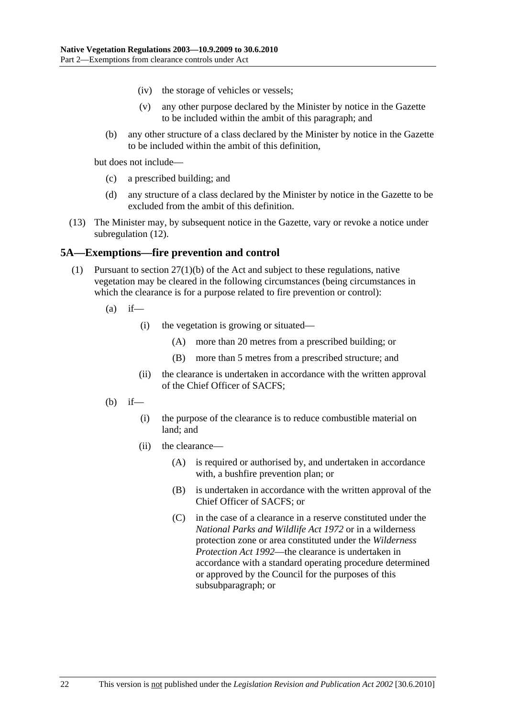- (iv) the storage of vehicles or vessels;
- (v) any other purpose declared by the Minister by notice in the Gazette to be included within the ambit of this paragraph; and
- (b) any other structure of a class declared by the Minister by notice in the Gazette to be included within the ambit of this definition,

but does not include—

- (c) a prescribed building; and
- (d) any structure of a class declared by the Minister by notice in the Gazette to be excluded from the ambit of this definition.
- (13) The Minister may, by subsequent notice in the Gazette, vary or revoke a notice under subregulation (12).

### **5A—Exemptions—fire prevention and control**

- (1) Pursuant to section 27(1)(b) of the Act and subject to these regulations, native vegetation may be cleared in the following circumstances (being circumstances in which the clearance is for a purpose related to fire prevention or control):
	- $(a)$  if—
		- (i) the vegetation is growing or situated—
			- (A) more than 20 metres from a prescribed building; or
			- (B) more than 5 metres from a prescribed structure; and
		- (ii) the clearance is undertaken in accordance with the written approval of the Chief Officer of SACFS;
	- $(b)$  if—
		- (i) the purpose of the clearance is to reduce combustible material on land; and
		- (ii) the clearance—
			- (A) is required or authorised by, and undertaken in accordance with, a bushfire prevention plan; or
			- (B) is undertaken in accordance with the written approval of the Chief Officer of SACFS; or
			- (C) in the case of a clearance in a reserve constituted under the *National Parks and Wildlife Act 1972* or in a wilderness protection zone or area constituted under the *Wilderness Protection Act 1992*—the clearance is undertaken in accordance with a standard operating procedure determined or approved by the Council for the purposes of this subsubparagraph; or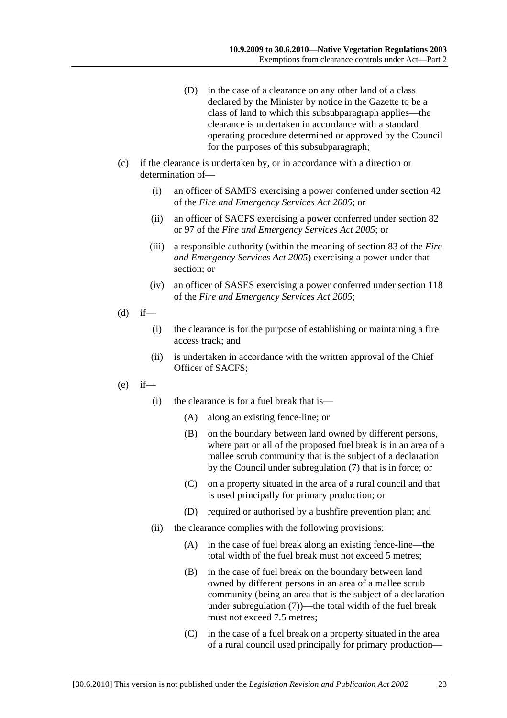- (D) in the case of a clearance on any other land of a class declared by the Minister by notice in the Gazette to be a class of land to which this subsubparagraph applies—the clearance is undertaken in accordance with a standard operating procedure determined or approved by the Council for the purposes of this subsubparagraph;
- (c) if the clearance is undertaken by, or in accordance with a direction or determination of—
	- (i) an officer of SAMFS exercising a power conferred under section 42 of the *Fire and Emergency Services Act 2005*; or
	- (ii) an officer of SACFS exercising a power conferred under section 82 or 97 of the *Fire and Emergency Services Act 2005*; or
	- (iii) a responsible authority (within the meaning of section 83 of the *Fire and Emergency Services Act 2005*) exercising a power under that section; or
	- (iv) an officer of SASES exercising a power conferred under section 118 of the *Fire and Emergency Services Act 2005*;
- $(d)$  if—
	- (i) the clearance is for the purpose of establishing or maintaining a fire access track; and
	- (ii) is undertaken in accordance with the written approval of the Chief Officer of SACFS;
- $(e)$  if—
	- (i) the clearance is for a fuel break that is—
		- (A) along an existing fence-line; or
		- (B) on the boundary between land owned by different persons, where part or all of the proposed fuel break is in an area of a mallee scrub community that is the subject of a declaration by the Council under subregulation (7) that is in force; or
		- (C) on a property situated in the area of a rural council and that is used principally for primary production; or
		- (D) required or authorised by a bushfire prevention plan; and
	- (ii) the clearance complies with the following provisions:
		- (A) in the case of fuel break along an existing fence-line—the total width of the fuel break must not exceed 5 metres;
		- (B) in the case of fuel break on the boundary between land owned by different persons in an area of a mallee scrub community (being an area that is the subject of a declaration under subregulation (7))—the total width of the fuel break must not exceed 7.5 metres;
		- (C) in the case of a fuel break on a property situated in the area of a rural council used principally for primary production—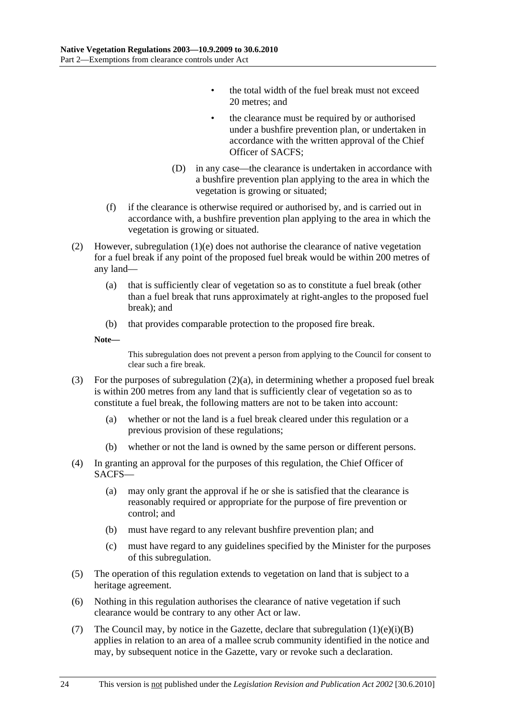- the total width of the fuel break must not exceed 20 metres; and
- the clearance must be required by or authorised under a bushfire prevention plan, or undertaken in accordance with the written approval of the Chief Officer of SACFS;
- (D) in any case—the clearance is undertaken in accordance with a bushfire prevention plan applying to the area in which the vegetation is growing or situated;
- (f) if the clearance is otherwise required or authorised by, and is carried out in accordance with, a bushfire prevention plan applying to the area in which the vegetation is growing or situated.
- (2) However, subregulation (1)(e) does not authorise the clearance of native vegetation for a fuel break if any point of the proposed fuel break would be within 200 metres of any land—
	- (a) that is sufficiently clear of vegetation so as to constitute a fuel break (other than a fuel break that runs approximately at right-angles to the proposed fuel break); and
	- (b) that provides comparable protection to the proposed fire break.

**Note—** 

This subregulation does not prevent a person from applying to the Council for consent to clear such a fire break.

- (3) For the purposes of subregulation (2)(a), in determining whether a proposed fuel break is within 200 metres from any land that is sufficiently clear of vegetation so as to constitute a fuel break, the following matters are not to be taken into account:
	- (a) whether or not the land is a fuel break cleared under this regulation or a previous provision of these regulations;
	- (b) whether or not the land is owned by the same person or different persons.
- (4) In granting an approval for the purposes of this regulation, the Chief Officer of SACFS—
	- (a) may only grant the approval if he or she is satisfied that the clearance is reasonably required or appropriate for the purpose of fire prevention or control; and
	- (b) must have regard to any relevant bushfire prevention plan; and
	- (c) must have regard to any guidelines specified by the Minister for the purposes of this subregulation.
- (5) The operation of this regulation extends to vegetation on land that is subject to a heritage agreement.
- (6) Nothing in this regulation authorises the clearance of native vegetation if such clearance would be contrary to any other Act or law.
- (7) The Council may, by notice in the Gazette, declare that subregulation  $(1)(e)(i)(B)$ applies in relation to an area of a mallee scrub community identified in the notice and may, by subsequent notice in the Gazette, vary or revoke such a declaration.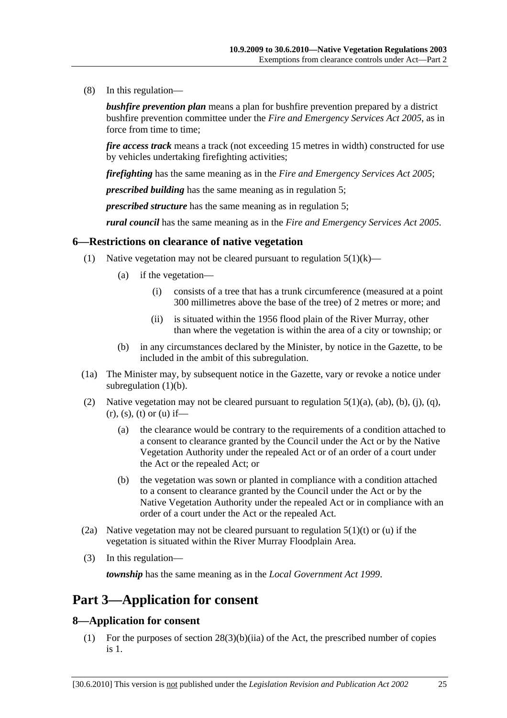(8) In this regulation—

*bushfire prevention plan* means a plan for bushfire prevention prepared by a district bushfire prevention committee under the *Fire and Emergency Services Act 2005*, as in force from time to time;

*fire access track* means a track (not exceeding 15 metres in width) constructed for use by vehicles undertaking firefighting activities;

*firefighting* has the same meaning as in the *Fire and Emergency Services Act 2005*;

*prescribed building* has the same meaning as in regulation 5;

*prescribed structure* has the same meaning as in regulation 5;

*rural council* has the same meaning as in the *Fire and Emergency Services Act 2005*.

#### **6—Restrictions on clearance of native vegetation**

- (1) Native vegetation may not be cleared pursuant to regulation  $5(1)(k)$ 
	- (a) if the vegetation—
		- (i) consists of a tree that has a trunk circumference (measured at a point 300 millimetres above the base of the tree) of 2 metres or more; and
		- (ii) is situated within the 1956 flood plain of the River Murray, other than where the vegetation is within the area of a city or township; or
	- (b) in any circumstances declared by the Minister, by notice in the Gazette, to be included in the ambit of this subregulation.
- (1a) The Minister may, by subsequent notice in the Gazette, vary or revoke a notice under subregulation  $(1)(b)$ .
- (2) Native vegetation may not be cleared pursuant to regulation  $5(1)(a)$ ,  $(ab)$ ,  $(b)$ ,  $(i)$ ,  $(q)$ ,  $(r)$ ,  $(s)$ ,  $(t)$  or  $(u)$  if—
	- (a) the clearance would be contrary to the requirements of a condition attached to a consent to clearance granted by the Council under the Act or by the Native Vegetation Authority under the repealed Act or of an order of a court under the Act or the repealed Act; or
	- (b) the vegetation was sown or planted in compliance with a condition attached to a consent to clearance granted by the Council under the Act or by the Native Vegetation Authority under the repealed Act or in compliance with an order of a court under the Act or the repealed Act.
- (2a) Native vegetation may not be cleared pursuant to regulation  $5(1)(t)$  or (u) if the vegetation is situated within the River Murray Floodplain Area.
- (3) In this regulation—

*township* has the same meaning as in the *Local Government Act 1999*.

## **Part 3—Application for consent**

#### **8—Application for consent**

 (1) For the purposes of section 28(3)(b)(iia) of the Act, the prescribed number of copies is 1.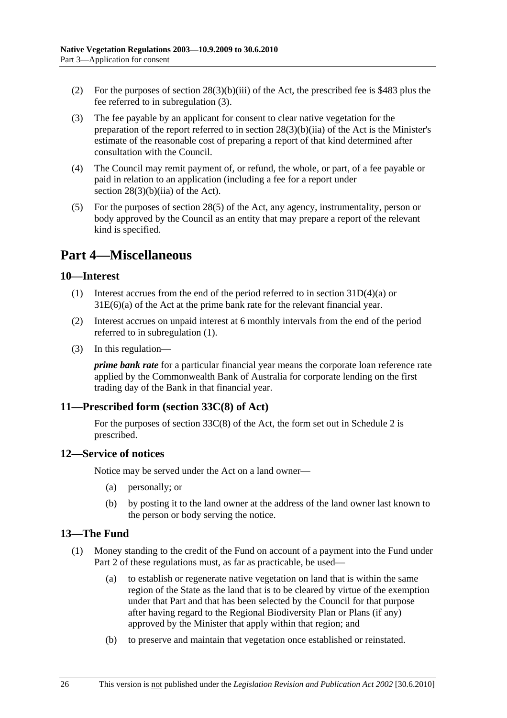- (2) For the purposes of section  $28(3)(b)(iii)$  of the Act, the prescribed fee is \$483 plus the fee referred to in subregulation (3).
- (3) The fee payable by an applicant for consent to clear native vegetation for the preparation of the report referred to in section 28(3)(b)(iia) of the Act is the Minister's estimate of the reasonable cost of preparing a report of that kind determined after consultation with the Council.
- (4) The Council may remit payment of, or refund, the whole, or part, of a fee payable or paid in relation to an application (including a fee for a report under section  $28(3)(b)(ii)$  of the Act).
- (5) For the purposes of section 28(5) of the Act, any agency, instrumentality, person or body approved by the Council as an entity that may prepare a report of the relevant kind is specified.

# **Part 4—Miscellaneous**

### **10—Interest**

- (1) Interest accrues from the end of the period referred to in section 31D(4)(a) or 31E(6)(a) of the Act at the prime bank rate for the relevant financial year.
- (2) Interest accrues on unpaid interest at 6 monthly intervals from the end of the period referred to in subregulation (1).
- (3) In this regulation—

*prime bank rate* for a particular financial year means the corporate loan reference rate applied by the Commonwealth Bank of Australia for corporate lending on the first trading day of the Bank in that financial year.

### **11—Prescribed form (section 33C(8) of Act)**

For the purposes of section 33C(8) of the Act, the form set out in Schedule 2 is prescribed.

### **12—Service of notices**

Notice may be served under the Act on a land owner—

- (a) personally; or
- (b) by posting it to the land owner at the address of the land owner last known to the person or body serving the notice.

### **13—The Fund**

- (1) Money standing to the credit of the Fund on account of a payment into the Fund under Part 2 of these regulations must, as far as practicable, be used—
	- (a) to establish or regenerate native vegetation on land that is within the same region of the State as the land that is to be cleared by virtue of the exemption under that Part and that has been selected by the Council for that purpose after having regard to the Regional Biodiversity Plan or Plans (if any) approved by the Minister that apply within that region; and
	- (b) to preserve and maintain that vegetation once established or reinstated.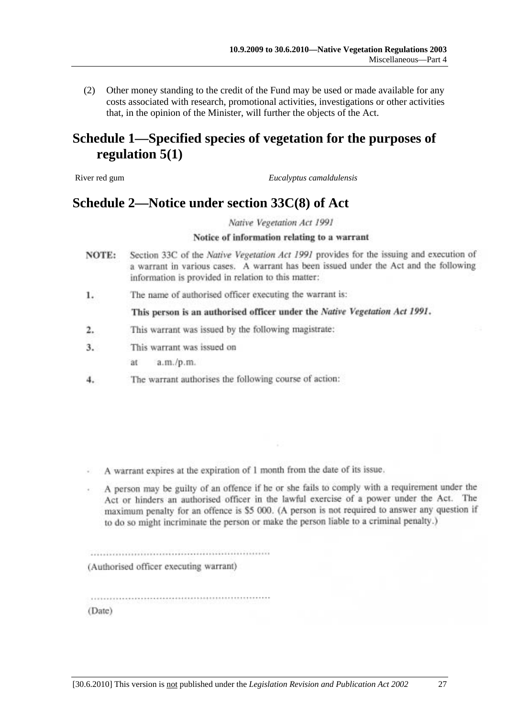(2) Other money standing to the credit of the Fund may be used or made available for any costs associated with research, promotional activities, investigations or other activities that, in the opinion of the Minister, will further the objects of the Act.

# **Schedule 1—Specified species of vegetation for the purposes of regulation 5(1)**

River red gum *Eucalyptus camaldulensis*

## **Schedule 2—Notice under section 33C(8) of Act**

Native Vegetation Act 1991

#### Notice of information relating to a warrant

- Section 33C of the Native Vegetation Act 1991 provides for the issuing and execution of NOTE: a warrant in various cases. A warrant has been issued under the Act and the following information is provided in relation to this matter:
- The name of authorised officer executing the warrant is: 1.

#### This person is an authorised officer under the Native Vegetation Act 1991.

- This warrant was issued by the following magistrate: 2.
- 3. This warrant was issued on
	- a.m./p.m. at.
- The warrant authorises the following course of action: 4.

- A warrant expires at the expiration of 1 month from the date of its issue.
- A person may be guilty of an offence if he or she fails to comply with a requirement under the Act or hinders an authorised officer in the lawful exercise of a power under the Act. The maximum penalty for an offence is \$5 000. (A person is not required to answer any question if to do so might incriminate the person or make the person liable to a criminal penalty.)

(Authorised officer executing warrant)

(Date)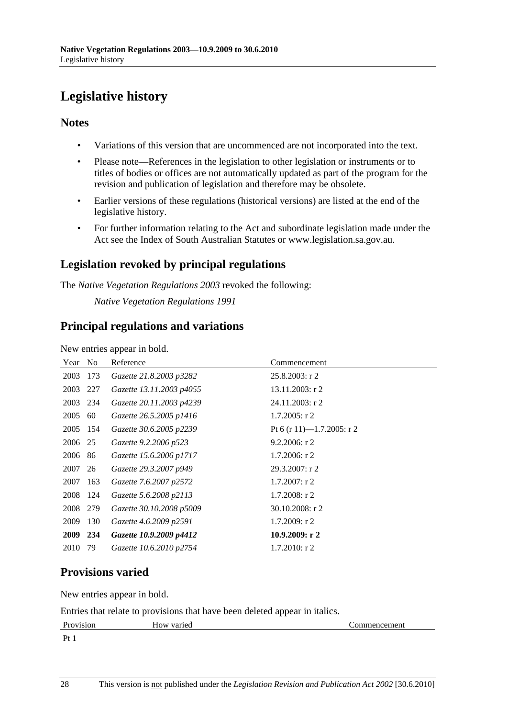# **Legislative history**

### **Notes**

- Variations of this version that are uncommenced are not incorporated into the text.
- Please note—References in the legislation to other legislation or instruments or to titles of bodies or offices are not automatically updated as part of the program for the revision and publication of legislation and therefore may be obsolete.
- Earlier versions of these regulations (historical versions) are listed at the end of the legislative history.
- For further information relating to the Act and subordinate legislation made under the Act see the Index of South Australian Statutes or www.legislation.sa.gov.au.

## **Legislation revoked by principal regulations**

The *Native Vegetation Regulations 2003* revoked the following:

*Native Vegetation Regulations 1991*

### **Principal regulations and variations**

New entries appear in bold.

| Year        | N <sub>0</sub> | Reference                | Commencement              |
|-------------|----------------|--------------------------|---------------------------|
| 2003        | 173            | Gazette 21.8.2003 p3282  | $25.8.2003$ : r 2         |
| 2003        | 227            | Gazette 13.11.2003 p4055 | 13.11.2003: r 2           |
| 2003 234    |                | Gazette 20.11.2003 p4239 | 24.11.2003: r 2           |
| 2005        | 60             | Gazette 26.5.2005 p1416  | $1.7.2005$ : r 2          |
| 2005 154    |                | Gazette 30.6.2005 p2239  | Pt 6 (r 11)—1.7.2005: r 2 |
| 2006 25     |                | Gazette 9.2.2006 p523    | $9.2.2006$ : r 2          |
| 2006 86     |                | Gazette 15.6.2006 p1717  | $1.7.2006$ : r 2          |
| 2007        | 26             | Gazette 29.3.2007 p949   | $29.3.2007:$ r 2          |
| 2007        | 163            | Gazette 7.6.2007 p2572   | $1.7.2007:$ r 2           |
| 2008        | 124            | Gazette 5.6.2008 p2113   | $1.7.2008:$ r 2           |
| 2008        | 279            | Gazette 30.10.2008 p5009 | $30.10.2008$ : r 2        |
| 2009        | 130            | Gazette 4.6.2009 p2591   | 1.7.2009: r2              |
| <b>2009</b> | 234            | Gazette 10.9.2009 p4412  | 10.9.2009: r2             |
| 2010        | 79             | Gazette 10.6.2010 p2754  | $1.7.2010$ : r 2          |

## **Provisions varied**

New entries appear in bold.

Entries that relate to provisions that have been deleted appear in italics.

| Provision                      | --<br>How varied | commencement |
|--------------------------------|------------------|--------------|
| $\mathbf{D}_{\mathbf{f}}$<br>. |                  |              |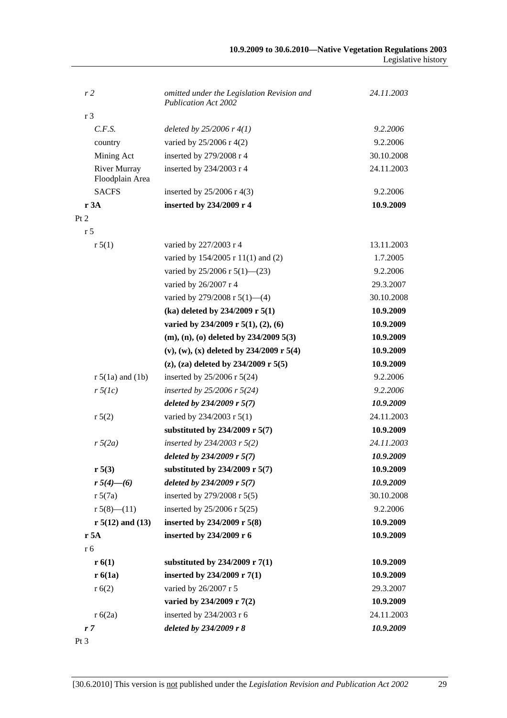| r <sub>2</sub>                         | omitted under the Legislation Revision and<br><b>Publication Act 2002</b> | 24.11.2003 |
|----------------------------------------|---------------------------------------------------------------------------|------------|
| r <sub>3</sub>                         |                                                                           |            |
| C.F.S.                                 | deleted by $25/2006$ r $4(1)$                                             | 9.2.2006   |
| country                                | varied by 25/2006 r 4(2)                                                  | 9.2.2006   |
| Mining Act                             | inserted by 279/2008 r 4                                                  | 30.10.2008 |
| <b>River Murray</b><br>Floodplain Area | inserted by 234/2003 r 4                                                  | 24.11.2003 |
| <b>SACFS</b>                           | inserted by 25/2006 r 4(3)                                                | 9.2.2006   |
| r 3A                                   | inserted by 234/2009 r 4                                                  | 10.9.2009  |
| Pt 2                                   |                                                                           |            |
| r <sub>5</sub>                         |                                                                           |            |
| r 5(1)                                 | varied by 227/2003 r 4                                                    | 13.11.2003 |
|                                        | varied by 154/2005 r 11(1) and (2)                                        | 1.7.2005   |
|                                        | varied by $25/2006$ r $5(1)$ — $(23)$                                     | 9.2.2006   |
|                                        | varied by 26/2007 r 4                                                     | 29.3.2007  |
|                                        | varied by 279/2008 r $5(1)$ —(4)                                          | 30.10.2008 |
|                                        | (ka) deleted by $234/2009$ r $5(1)$                                       | 10.9.2009  |
|                                        | varied by 234/2009 r 5(1), (2), (6)                                       | 10.9.2009  |
|                                        | $(m), (n), (o)$ deleted by 234/2009 5(3)                                  | 10.9.2009  |
|                                        | $(v)$ , $(w)$ , $(x)$ deleted by 234/2009 r 5(4)                          | 10.9.2009  |
|                                        | (z), (za) deleted by $234/2009$ r $5(5)$                                  | 10.9.2009  |
| $r 5(1a)$ and $(1b)$                   | inserted by $25/2006$ r $5(24)$                                           | 9.2.2006   |
| $r \, 5(lc)$                           | inserted by $25/2006$ r $5(24)$                                           | 9.2.2006   |
|                                        | deleted by $234/2009$ r 5(7)                                              | 10.9.2009  |
| r 5(2)                                 | varied by 234/2003 r 5(1)                                                 | 24.11.2003 |
|                                        | substituted by 234/2009 r 5(7)                                            | 10.9.2009  |
| $r\sqrt{5(2a)}$                        | inserted by 234/2003 r $5(2)$                                             | 24.11.2003 |
|                                        | deleted by $234/2009$ r 5(7)                                              | 10.9.2009  |
| r 5(3)                                 | substituted by 234/2009 r 5(7)                                            | 10.9.2009  |
| $r 5(4)$ —(6)                          | deleted by $234/2009$ r 5(7)                                              | 10.9.2009  |
| r 5(7a)                                | inserted by 279/2008 r 5(5)                                               | 30.10.2008 |
| $r 5(8)$ - $(11)$                      | inserted by $25/2006$ r $5(25)$                                           | 9.2.2006   |
| $r 5(12)$ and $(13)$                   | inserted by 234/2009 r 5(8)                                               | 10.9.2009  |
| r 5A                                   | inserted by 234/2009 r 6                                                  | 10.9.2009  |
| r 6                                    |                                                                           |            |
| r(6(1))                                | substituted by 234/2009 r 7(1)                                            | 10.9.2009  |
| r6(1a)                                 | inserted by 234/2009 r 7(1)                                               | 10.9.2009  |
| r(6(2)                                 | varied by 26/2007 r 5                                                     | 29.3.2007  |
|                                        | varied by 234/2009 r 7(2)                                                 | 10.9.2009  |
| r 6(2a)                                | inserted by 234/2003 r 6                                                  | 24.11.2003 |
| r7                                     | deleted by 234/2009 r 8                                                   | 10.9.2009  |
|                                        |                                                                           |            |

Pt 3